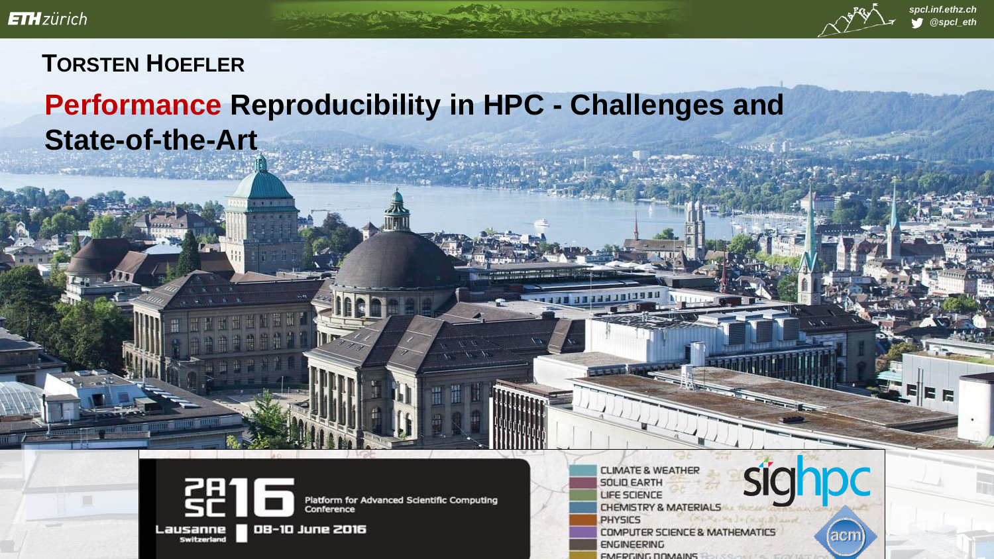

#### *spcl.inf.ethz.ch @spcl\_eth*

### **TORSTEN HOEFLER**

# **Performance Reproducibility in HPC - Challenges and State-of-the-Art**



10410

Platform for Advanced Scientific Computing Conference

Lausanne Switzerlan

**LIFE SCIENCE CHEMISTRY & MATERIAL PHYSICS COMPUTER SCIENCE & MATHEMATICS ENGINEERING** 

**SOLID EARTH** 

**CLIMATE & WEATHER** 

*EMERGING DOMAINS* 

(acm)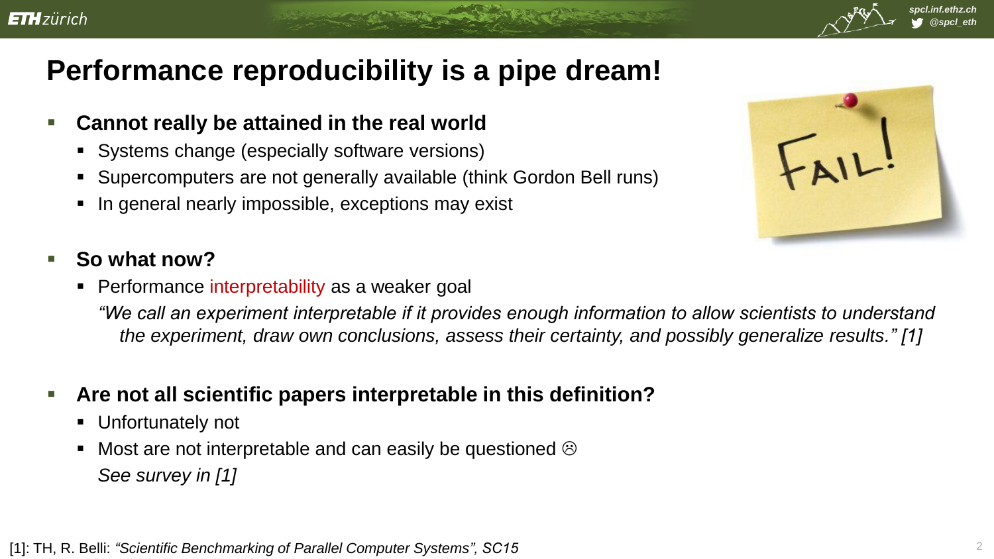## **Performance reproducibility is a pipe dream!**

- **Cannot really be attained in the real world**
	- Systems change (especially software versions)
	- Supercomputers are not generally available (think Gordon Bell runs)
	- In general nearly impossible, exceptions may exist



*spcl.inf.ethz.ch @spcl\_eth*

- **So what now?**
	- **Performance interpretability as a weaker goal**

*"We call an experiment interpretable if it provides enough information to allow scientists to understand the experiment, draw own conclusions, assess their certainty, and possibly generalize results." [1]*

- **Are not all scientific papers interpretable in this definition?**
	- **Unfortunately not**
	- Most are not interpretable and can easily be questioned  $\odot$ *See survey in [1]*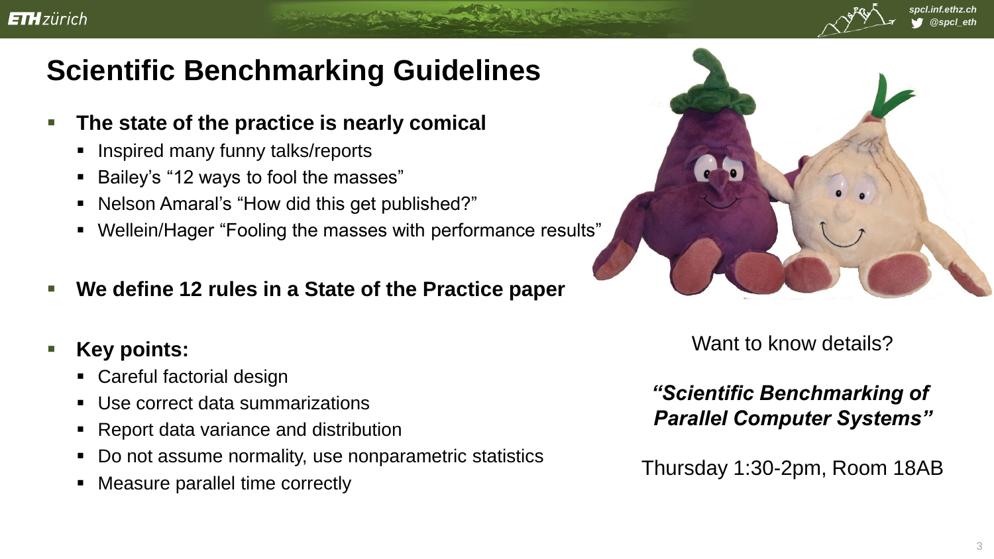

- **The state of the practice is nearly comical**
	- Inspired many funny talks/reports
	- Bailey's "12 ways to fool the masses"
	- Nelson Amaral's "How did this get published?"
	- Wellein/Hager "Fooling the masses with performance results"
- **We define 12 rules in a State of the Practice paper**
- **Key points:** 
	- Careful factorial design
	- Use correct data summarizations
	- Report data variance and distribution
	- Do not assume normality, use nonparametric statistics
	- Measure parallel time correctly



Want to know details?

*"Scientific Benchmarking of Parallel Computer Systems"*

Thursday 1:30-2pm, Room 18AB

*spcl.inf.ethz.ch @spcl\_eth*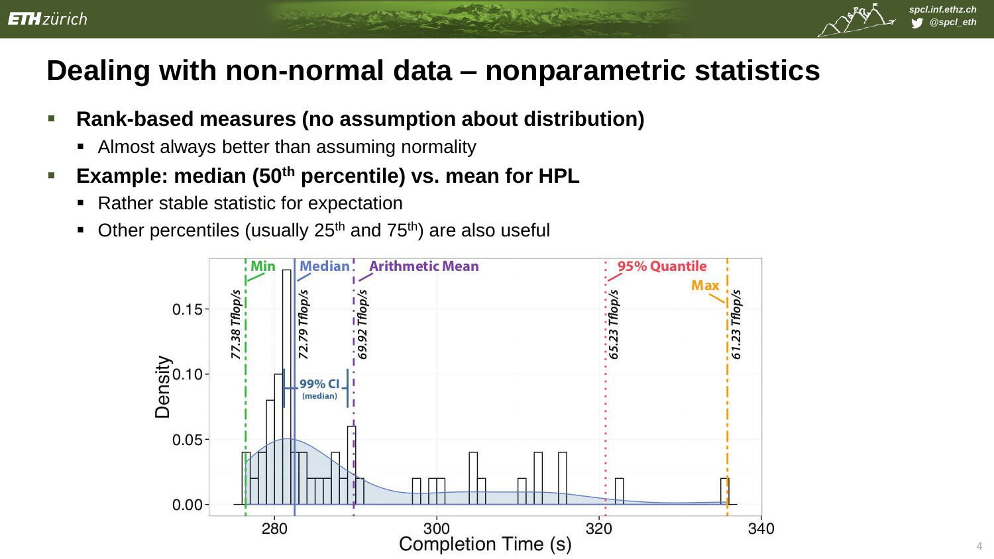# **Dealing with non-normal data – nonparametric statistics**

- **Rank-based measures (no assumption about distribution)**
	- Almost always better than assuming normality
- **Example: median (50th percentile) vs. mean for HPL**
	- Rather stable statistic for expectation
	- Other percentiles (usually 25<sup>th</sup> and 75<sup>th</sup>) are also useful



*spcl.inf.ethz.ch @spcl\_eth*